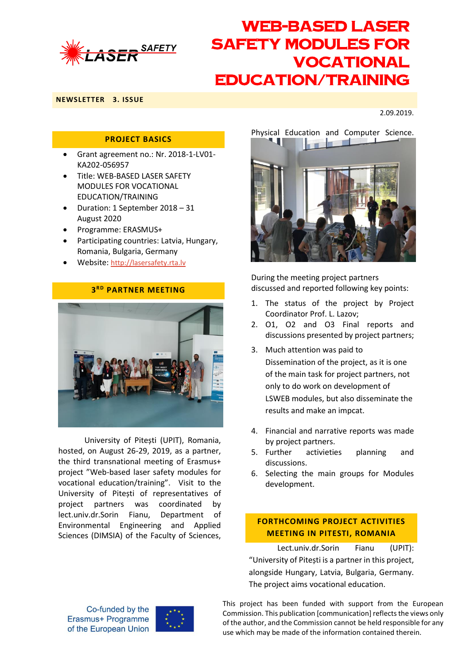

#### **NEWSLETTER 3. ISSUE**

2.09.2019.

#### **PROJECT BASICS**

- Grant agreement no.: Nr. 2018-1-LV01- KA202-056957
- Title: WEB-BASED LASER SAFETY MODULES FOR VOCATIONAL EDUCATION/TRAINING
- Duration: 1 September 2018 31 August 2020
- Programme: ERASMUS+
- Participating countries: Latvia, Hungary, Romania, Bulgaria, Germany
- Website: [http://lasersafety.rta.lv](http://lasersafety.rta.lv/)

### **3 RD PARTNER MEETING**



University of Pitești (UPIT), Romania, hosted, on August 26-29, 2019, as a partner, the third transnational meeting of Erasmus+ project "Web-based laser safety modules for vocational education/training". Visit to the University of Pitești of representatives of project partners was coordinated by lect.univ.dr.Sorin Fianu, Department of Environmental Engineering and Applied Sciences (DIMSIA) of the Faculty of Sciences,

### Physical Education and Computer Science.



During the meeting project partners discussed and reported following key points:

- 1. The status of the project by Project Coordinator Prof. L. Lazov;
- 2. O1, O2 and O3 Final reports and discussions presented by project partners;
- 3. Much attention was paid to Dissemination of the project, as it is one of the main task for project partners, not only to do work on development of LSWEB modules, but also disseminate the results and make an impcat.
- 4. Financial and narrative reports was made by project partners.
- 5. Further activieties planning and discussions.
- 6. Selecting the main groups for Modules development.

### **FORTHCOMING PROJECT ACTIVITIES MEETING IN PITESTI, ROMANIA**

Lect.univ.dr.Sorin Fianu (UPIT): "University of Pitești is a partner in this project, alongside Hungary, Latvia, Bulgaria, Germany. The project aims vocational education.

Co-funded by the Erasmus+ Programme of the European Union



This project has been funded with support from the European Commission. This publication [communication] reflects the views only of the author, and the Commission cannot be held responsible for any use which may be made of the information contained therein.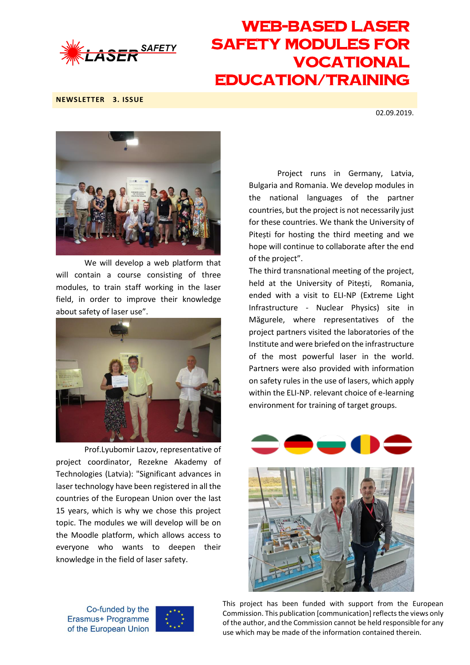

**NEWSLETTER 3. ISSUE**

02.09.2019.



We will develop a web platform that will contain a course consisting of three modules, to train staff working in the laser field, in order to improve their knowledge about safety of laser use".



Prof.Lyubomir Lazov, representative of project coordinator, Rezekne Akademy of Technologies (Latvia): "Significant advances in laser technology have been registered in all the countries of the European Union over the last 15 years, which is why we chose this project topic. The modules we will develop will be on the Moodle platform, which allows access to everyone who wants to deepen their knowledge in the field of laser safety.

Project runs in Germany, Latvia, Bulgaria and Romania. We develop modules in the national languages of the partner countries, but the project is not necessarily just for these countries. We thank the University of Pitești for hosting the third meeting and we hope will continue to collaborate after the end of the project".

The third transnational meeting of the project, held at the University of Pitesti, Romania, ended with a visit to ELI-NP (Extreme Light Infrastructure - Nuclear Physics) site in Măgurele, where representatives of the project partners visited the laboratories of the Institute and were briefed on the infrastructure of the most powerful laser in the world. Partners were also provided with information on safety rules in the use of lasers, which apply within the ELI-NP. relevant choice of e-learning environment for training of target groups.



This project has been funded with support from the European Commission. This publication [communication] reflects the views only of the author, and the Commission cannot be held responsible for any use which may be made of the information contained therein.

Co-funded by the Erasmus+ Programme of the European Union

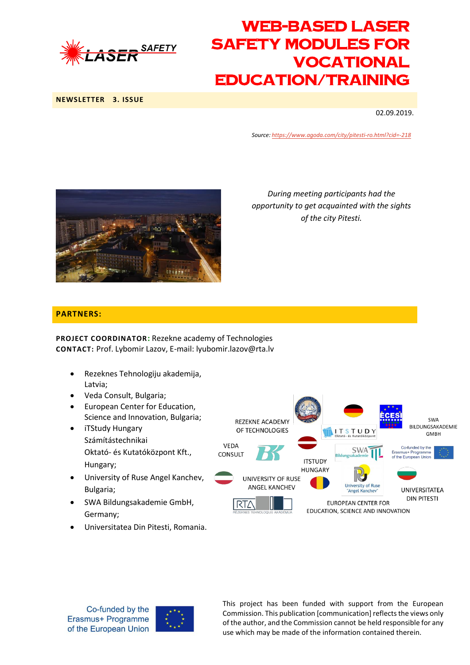

**NEWSLETTER 3. ISSUE**

02.09.2019.

*Source: <https://www.agoda.com/city/pitesti-ro.html?cid=-218>*



*During meeting participants had the opportunity to get acquainted with the sights of the city Pitesti.*

#### **PARTNERS:**

**PROJECT COORDINATOR:** Rezekne academy of Technologies **CONTACT:** Prof. Lybomir Lazov, E-mail: lyubomir.lazov@rta.lv

- Rezeknes Tehnologiju akademija, Latvia;
- Veda Consult, Bulgaria;
- European Center for Education, Science and Innovation, Bulgaria;
- iTStudy Hungary Számítástechnikai Oktató- és Kutatóközpont Kft., Hungary;
- University of Ruse Angel Kanchev, Bulgaria;
- SWA Bildungsakademie GmbH, Germany;
- Universitatea Din Pitesti, Romania.



Co-funded by the Erasmus+ Programme of the European Union



This project has been funded with support from the European Commission. This publication [communication] reflects the views only of the author, and the Commission cannot be held responsible for any use which may be made of the information contained therein.